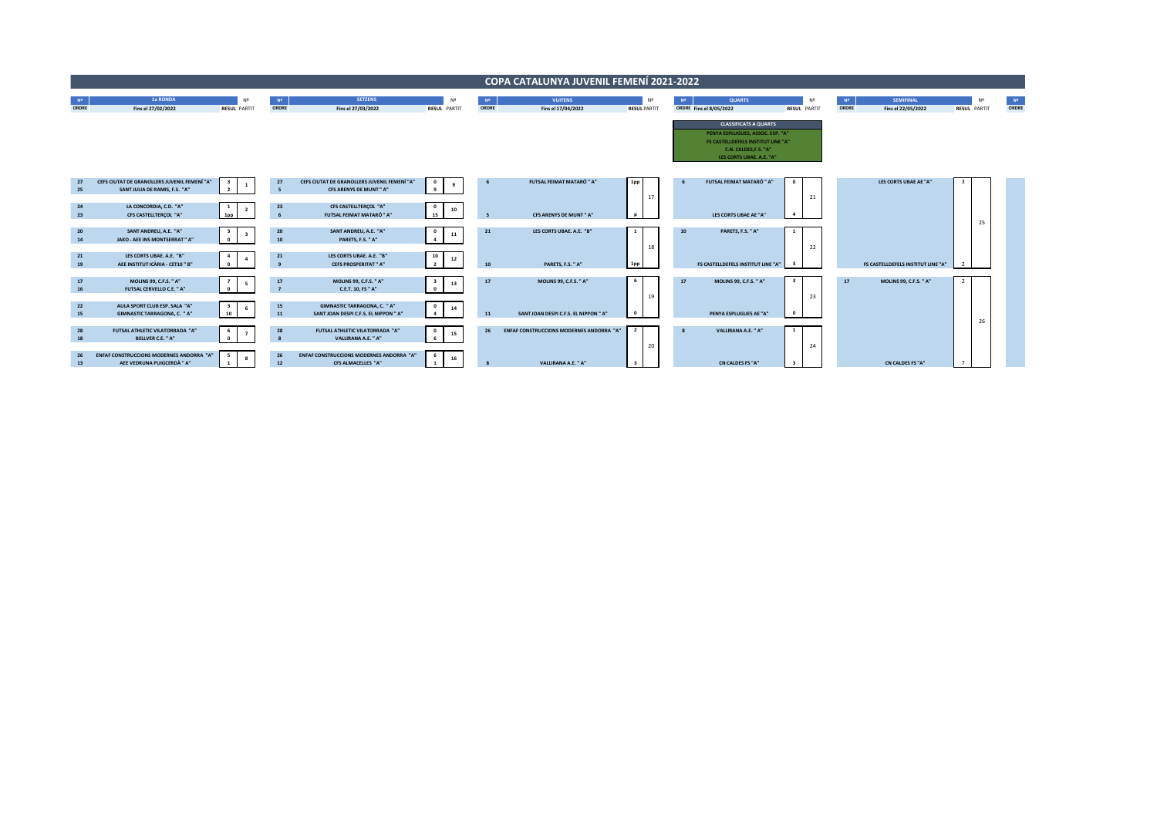